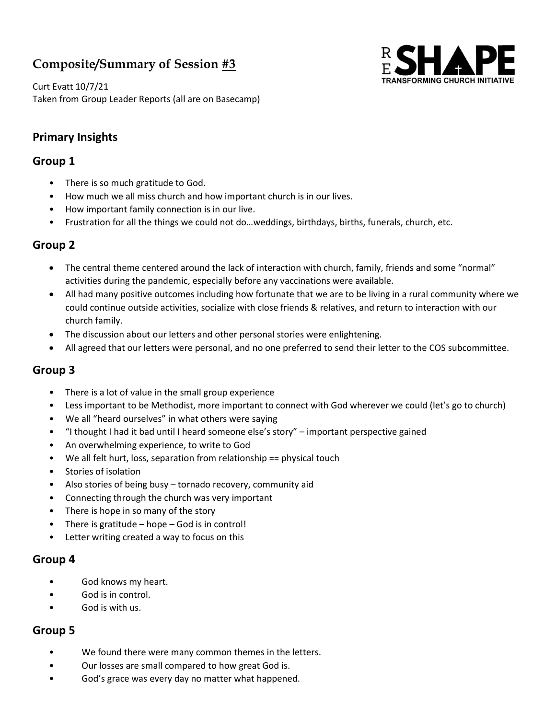# Composite/Summary of Session #3



Curt Evatt 10/7/21 Taken from Group Leader Reports (all are on Basecamp)

## Primary Insights

## Group 1

- There is so much gratitude to God.
- How much we all miss church and how important church is in our lives.
- How important family connection is in our live.
- Frustration for all the things we could not do…weddings, birthdays, births, funerals, church, etc.

## Group 2

- The central theme centered around the lack of interaction with church, family, friends and some "normal" activities during the pandemic, especially before any vaccinations were available.
- All had many positive outcomes including how fortunate that we are to be living in a rural community where we could continue outside activities, socialize with close friends & relatives, and return to interaction with our church family.
- The discussion about our letters and other personal stories were enlightening.
- All agreed that our letters were personal, and no one preferred to send their letter to the COS subcommittee.

## Group 3

- There is a lot of value in the small group experience
- Less important to be Methodist, more important to connect with God wherever we could (let's go to church)
- We all "heard ourselves" in what others were saying
- "I thought I had it bad until I heard someone else's story" important perspective gained
- An overwhelming experience, to write to God
- We all felt hurt, loss, separation from relationship == physical touch
- Stories of isolation
- Also stories of being busy tornado recovery, community aid
- Connecting through the church was very important
- There is hope in so many of the story
- There is gratitude  $-$  hope  $-$  God is in control!
- Letter writing created a way to focus on this

#### Group 4

- God knows my heart.
- God is in control.
- God is with us.

## Group 5

- We found there were many common themes in the letters.
- Our losses are small compared to how great God is.
- God's grace was every day no matter what happened.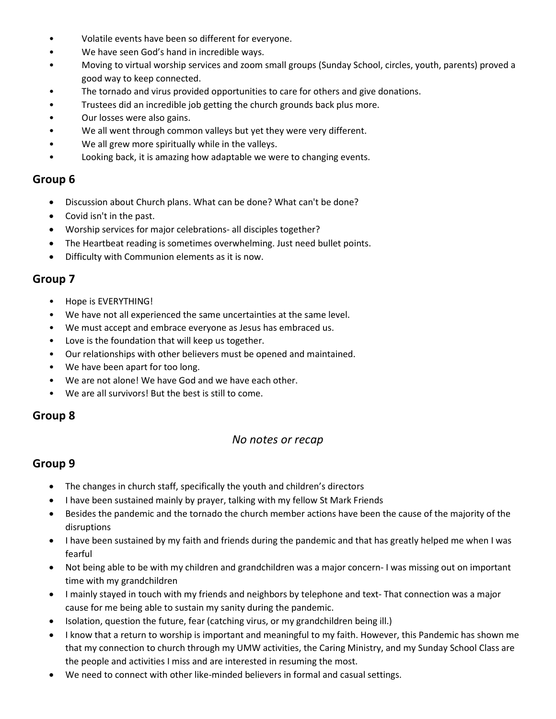- Volatile events have been so different for everyone.
- We have seen God's hand in incredible ways.
- Moving to virtual worship services and zoom small groups (Sunday School, circles, youth, parents) proved a good way to keep connected.
- The tornado and virus provided opportunities to care for others and give donations.
- Trustees did an incredible job getting the church grounds back plus more.
- Our losses were also gains.
- We all went through common valleys but yet they were very different.
- We all grew more spiritually while in the valleys.
- Looking back, it is amazing how adaptable we were to changing events.

#### Group 6

- Discussion about Church plans. What can be done? What can't be done?
- Covid isn't in the past.
- Worship services for major celebrations- all disciples together?
- The Heartbeat reading is sometimes overwhelming. Just need bullet points.
- Difficulty with Communion elements as it is now.

#### Group 7

- Hope is EVERYTHING!
- We have not all experienced the same uncertainties at the same level.
- We must accept and embrace everyone as Jesus has embraced us.
- Love is the foundation that will keep us together.
- Our relationships with other believers must be opened and maintained.
- We have been apart for too long.
- We are not alone! We have God and we have each other.
- We are all survivors! But the best is still to come.

## Group 8

#### No notes or recap

## Group 9

- The changes in church staff, specifically the youth and children's directors
- I have been sustained mainly by prayer, talking with my fellow St Mark Friends
- Besides the pandemic and the tornado the church member actions have been the cause of the majority of the disruptions
- I have been sustained by my faith and friends during the pandemic and that has greatly helped me when I was fearful
- Not being able to be with my children and grandchildren was a major concern- I was missing out on important time with my grandchildren
- I mainly stayed in touch with my friends and neighbors by telephone and text- That connection was a major cause for me being able to sustain my sanity during the pandemic.
- Isolation, question the future, fear (catching virus, or my grandchildren being ill.)
- I know that a return to worship is important and meaningful to my faith. However, this Pandemic has shown me that my connection to church through my UMW activities, the Caring Ministry, and my Sunday School Class are the people and activities I miss and are interested in resuming the most.
- We need to connect with other like-minded believers in formal and casual settings.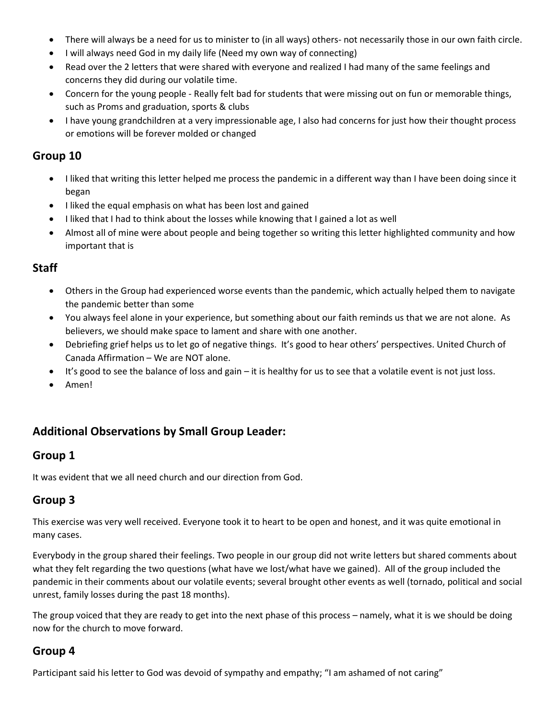- There will always be a need for us to minister to (in all ways) others- not necessarily those in our own faith circle.
- I will always need God in my daily life (Need my own way of connecting)
- Read over the 2 letters that were shared with everyone and realized I had many of the same feelings and concerns they did during our volatile time.
- Concern for the young people Really felt bad for students that were missing out on fun or memorable things, such as Proms and graduation, sports & clubs
- I have young grandchildren at a very impressionable age, I also had concerns for just how their thought process or emotions will be forever molded or changed

#### Group 10

- I liked that writing this letter helped me process the pandemic in a different way than I have been doing since it began
- I liked the equal emphasis on what has been lost and gained
- I liked that I had to think about the losses while knowing that I gained a lot as well
- Almost all of mine were about people and being together so writing this letter highlighted community and how important that is

#### **Staff**

- Others in the Group had experienced worse events than the pandemic, which actually helped them to navigate the pandemic better than some
- You always feel alone in your experience, but something about our faith reminds us that we are not alone. As believers, we should make space to lament and share with one another.
- Debriefing grief helps us to let go of negative things. It's good to hear others' perspectives. United Church of Canada Affirmation – We are NOT alone.
- It's good to see the balance of loss and gain it is healthy for us to see that a volatile event is not just loss.
- Amen!

## Additional Observations by Small Group Leader:

#### Group 1

It was evident that we all need church and our direction from God.

## Group 3

This exercise was very well received. Everyone took it to heart to be open and honest, and it was quite emotional in many cases.

Everybody in the group shared their feelings. Two people in our group did not write letters but shared comments about what they felt regarding the two questions (what have we lost/what have we gained). All of the group included the pandemic in their comments about our volatile events; several brought other events as well (tornado, political and social unrest, family losses during the past 18 months).

The group voiced that they are ready to get into the next phase of this process – namely, what it is we should be doing now for the church to move forward.

## Group 4

Participant said his letter to God was devoid of sympathy and empathy; "I am ashamed of not caring"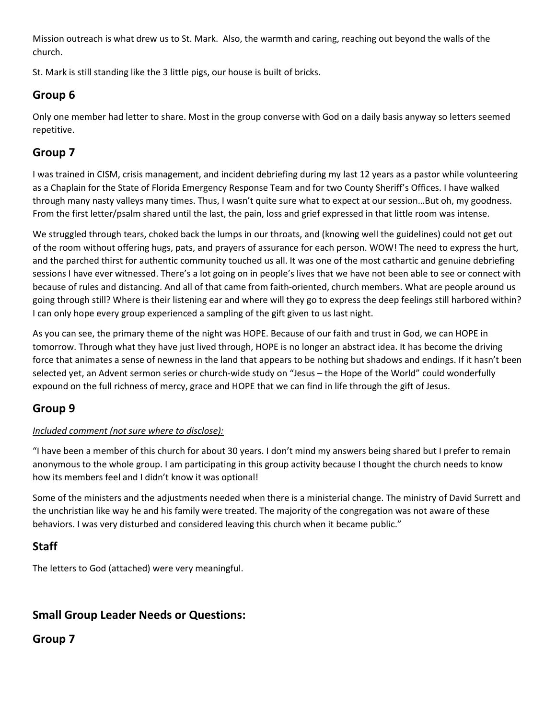Mission outreach is what drew us to St. Mark. Also, the warmth and caring, reaching out beyond the walls of the church.

St. Mark is still standing like the 3 little pigs, our house is built of bricks.

## Group 6

Only one member had letter to share. Most in the group converse with God on a daily basis anyway so letters seemed repetitive.

## Group 7

I was trained in CISM, crisis management, and incident debriefing during my last 12 years as a pastor while volunteering as a Chaplain for the State of Florida Emergency Response Team and for two County Sheriff's Offices. I have walked through many nasty valleys many times. Thus, I wasn't quite sure what to expect at our session…But oh, my goodness. From the first letter/psalm shared until the last, the pain, loss and grief expressed in that little room was intense.

We struggled through tears, choked back the lumps in our throats, and (knowing well the guidelines) could not get out of the room without offering hugs, pats, and prayers of assurance for each person. WOW! The need to express the hurt, and the parched thirst for authentic community touched us all. It was one of the most cathartic and genuine debriefing sessions I have ever witnessed. There's a lot going on in people's lives that we have not been able to see or connect with because of rules and distancing. And all of that came from faith-oriented, church members. What are people around us going through still? Where is their listening ear and where will they go to express the deep feelings still harbored within? I can only hope every group experienced a sampling of the gift given to us last night.

As you can see, the primary theme of the night was HOPE. Because of our faith and trust in God, we can HOPE in tomorrow. Through what they have just lived through, HOPE is no longer an abstract idea. It has become the driving force that animates a sense of newness in the land that appears to be nothing but shadows and endings. If it hasn't been selected yet, an Advent sermon series or church-wide study on "Jesus – the Hope of the World" could wonderfully expound on the full richness of mercy, grace and HOPE that we can find in life through the gift of Jesus.

## Group 9

#### Included comment (not sure where to disclose):

"I have been a member of this church for about 30 years. I don't mind my answers being shared but I prefer to remain anonymous to the whole group. I am participating in this group activity because I thought the church needs to know how its members feel and I didn't know it was optional!

Some of the ministers and the adjustments needed when there is a ministerial change. The ministry of David Surrett and the unchristian like way he and his family were treated. The majority of the congregation was not aware of these behaviors. I was very disturbed and considered leaving this church when it became public."

## Staff

The letters to God (attached) were very meaningful.

## Small Group Leader Needs or Questions:

## Group 7